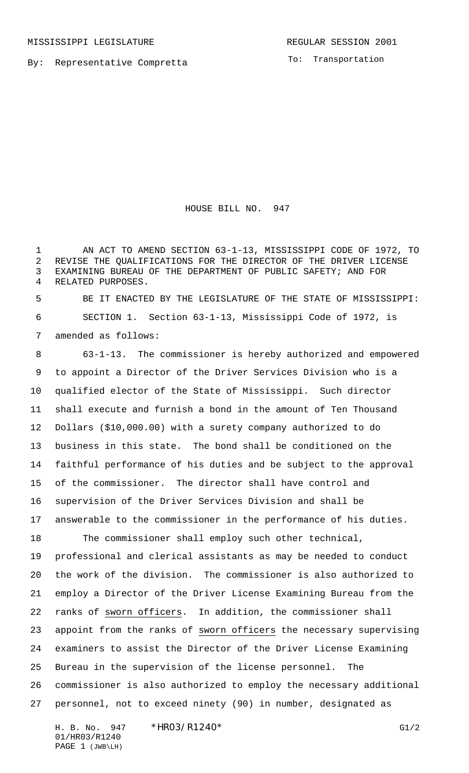MISSISSIPPI LEGISLATURE **REGULAR SESSION 2001** 

By: Representative Compretta

To: Transportation

HOUSE BILL NO. 947

 AN ACT TO AMEND SECTION 63-1-13, MISSISSIPPI CODE OF 1972, TO REVISE THE QUALIFICATIONS FOR THE DIRECTOR OF THE DRIVER LICENSE EXAMINING BUREAU OF THE DEPARTMENT OF PUBLIC SAFETY; AND FOR RELATED PURPOSES.

 BE IT ENACTED BY THE LEGISLATURE OF THE STATE OF MISSISSIPPI: SECTION 1. Section 63-1-13, Mississippi Code of 1972, is amended as follows:

 63-1-13. The commissioner is hereby authorized and empowered to appoint a Director of the Driver Services Division who is a qualified elector of the State of Mississippi. Such director shall execute and furnish a bond in the amount of Ten Thousand Dollars (\$10,000.00) with a surety company authorized to do business in this state. The bond shall be conditioned on the faithful performance of his duties and be subject to the approval of the commissioner. The director shall have control and supervision of the Driver Services Division and shall be answerable to the commissioner in the performance of his duties.

 The commissioner shall employ such other technical, professional and clerical assistants as may be needed to conduct the work of the division. The commissioner is also authorized to employ a Director of the Driver License Examining Bureau from the ranks of sworn officers. In addition, the commissioner shall appoint from the ranks of sworn officers the necessary supervising examiners to assist the Director of the Driver License Examining Bureau in the supervision of the license personnel. The commissioner is also authorized to employ the necessary additional personnel, not to exceed ninety (90) in number, designated as

H. B. No. 947 \* HRO3/R1240\* G1/2 01/HR03/R1240 PAGE 1 (JWB\LH)